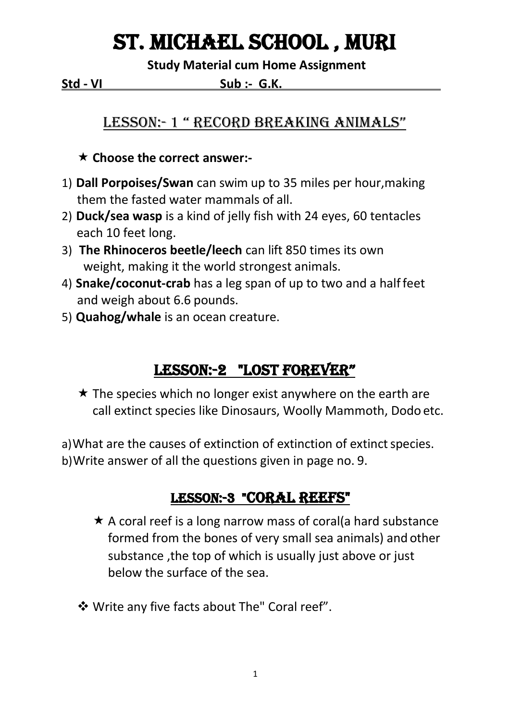# St. Michael School , Muri

**Study Material cum Home Assignment**

**Std - VI Sub :- G.K. .**

## LESSON: 1 " RECORD BREAKING ANIMALS"

#### **Choose the correct answer:-**

- 1) **Dall Porpoises/Swan** can swim up to 35 miles per hour,making them the fasted water mammals of all.
- 2) **Duck/sea wasp** is a kind of jelly fish with 24 eyes, 60 tentacles each 10 feet long.
- 3) **The Rhinoceros beetle/leech** can lift 850 times its own weight, making it the world strongest animals.
- 4) **Snake/coconut-crab** has a leg span of up to two and a halffeet and weigh about 6.6 pounds.
- 5) **Quahog/whale** is an ocean creature.

## LESSON:-2 "LOST FOREVER"

 $\star$  The species which no longer exist anywhere on the earth are call extinct species like Dinosaurs, Woolly Mammoth, Dodo etc.

a) What are the causes of extinction of extinction of extinct species. b)Write answer of all the questions given in page no. 9.

## LESSON:-3 "CORAL REEFS"

- $\star$  A coral reef is a long narrow mass of coral(a hard substance formed from the bones of very small sea animals) and other substance ,the top of which is usually just above or just below the surface of the sea.
- Write any five facts about The" Coral reef".